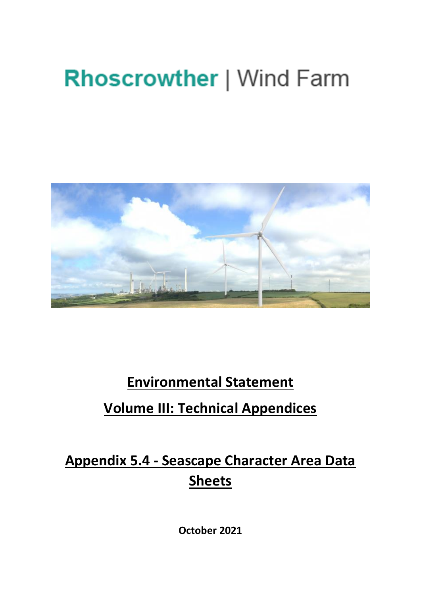# **Rhoscrowther | Wind Farm**



### **Environmental Statement**

### **Volume III: Technical Appendices**

## **Appendix 5.4 - Seascape Character Area Data Sheets**

**October 2021**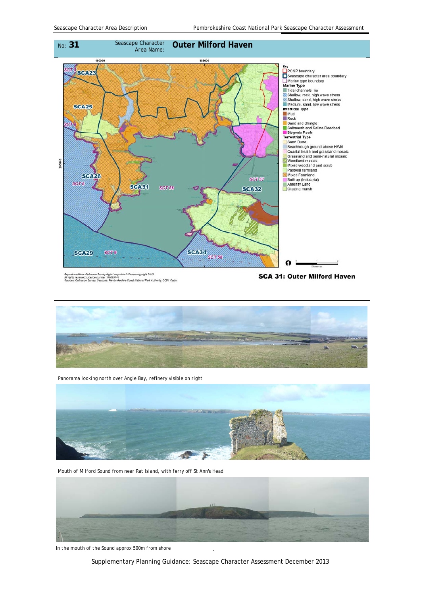

Reproduced from Ordnance Survey digital map data © Crown copyright 2013.<br>All rights reserved. Licence number 100019741<br>Sources: Ordnance Survey, Seazone, Pembrokeshire Coast National Park Authority. CCW, Cadw

SCA 31: Outer Milford Haven



*Panorama looking north over Angle Bay, refinery visible on right* 



*Mouth of Milford Sound from near Rat Island, with ferry off St Ann's Head* 



In the mouth of the Sound approx 500m from shore

Supplementary Planning Guidance: Seascape Character Assessment December 2013

31 1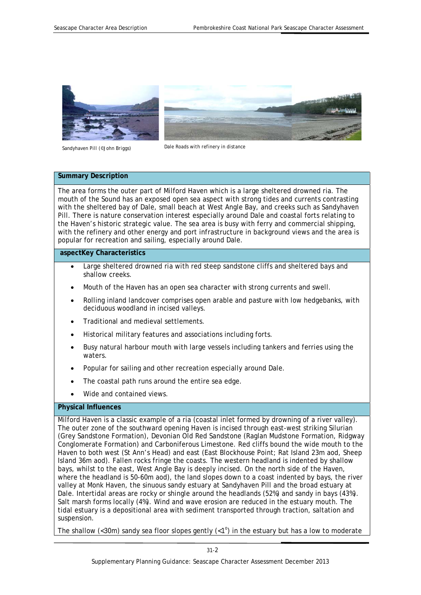



*Dale Roads with refinery in distance Sandyhaven Pill (©John Briggs)* 

#### **Summary Description**

The area forms the outer part of Milford Haven which is a large sheltered drowned ria. The mouth of the Sound has an exposed open sea aspect with strong tides and currents contrasting with the sheltered bay of Dale, small beach at West Angle Bay, and creeks such as Sandyhaven Pill. There is nature conservation interest especially around Dale and coastal forts relating to the Haven's historic strategic value. The sea area is busy with ferry and commercial shipping, with the refinery and other energy and port infrastructure in background views and the area is popular for recreation and sailing, especially around Dale.

#### **aspectKey Characteristics**

- Large sheltered drowned ria with red steep sandstone cliffs and sheltered bays and shallow creeks.
- Mouth of the Haven has an open sea character with strong currents and swell.
- Rolling inland landcover comprises open arable and pasture with low hedgebanks, with deciduous woodland in incised valleys.
- Traditional and medieval settlements.
- Historical military features and associations including forts.
- Busy natural harbour mouth with large vessels including tankers and ferries using the waters.
- Popular for sailing and other recreation especially around Dale.
- The coastal path runs around the entire sea edge.
- Wide and contained views.

#### **Physical Influences**

Milford Haven is a classic example of a ria (coastal inlet formed by drowning of a river valley). The outer zone of the southward opening Haven is incised through east-west striking Silurian (Grey Sandstone Formation), Devonian Old Red Sandstone (Raglan Mudstone Formation, Ridgway Conglomerate Formation) and Carboniferous Limestone. Red cliffs bound the wide mouth to the Haven to both west (St Ann's Head) and east (East Blockhouse Point; Rat Island 23m aod, Sheep Island 36m aod). Fallen rocks fringe the coasts. The western headland is indented by shallow bays, whilst to the east, West Angle Bay is deeply incised. On the north side of the Haven, where the headland is 50-60m aod), the land slopes down to a coast indented by bays, the river valley at Monk Haven, the sinuous sandy estuary at Sandyhaven Pill and the broad estuary at Dale. Intertidal areas are rocky or shingle around the headlands (52%) and sandy in bays (43%). Salt marsh forms locally (4%). Wind and wave erosion are reduced in the estuary mouth. The tidal estuary is a depositional area with sediment transported through traction, saltation and suspension.

The shallow (<30m) sandy sea floor slopes gently (<1<sup>o</sup>) in the estuary but has a low to moderate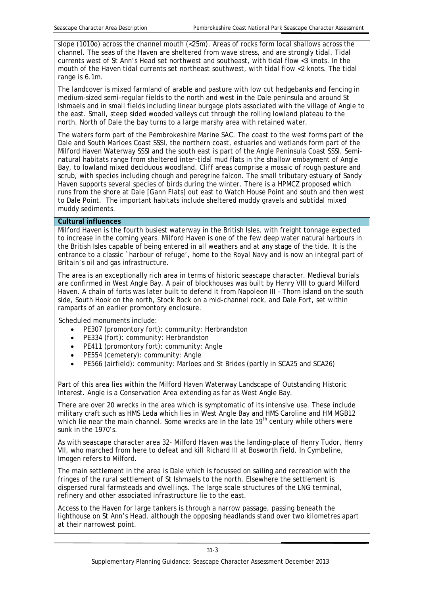slope (1010o) across the channel mouth (<25m). Areas of rocks form local shallows across the channel. The seas of the Haven are sheltered from wave stress, and are strongly tidal. Tidal currents west of St Ann's Head set northwest and southeast, with tidal flow <3 knots. In the mouth of the Haven tidal currents set northeast southwest, with tidal flow <2 knots. The tidal range is 6.1m.

The landcover is mixed farmland of arable and pasture with low cut hedgebanks and fencing in medium-sized semi-regular fields to the north and west in the Dale peninsula and around St Ishmaels and in small fields including linear burgage plots associated with the village of Angle to the east. Small, steep sided wooded valleys cut through the rolling lowland plateau to the north. North of Dale the bay turns to a large marshy area with retained water.

 muddy sediments. The waters form part of the Pembrokeshire Marine SAC. The coast to the west forms part of the Dale and South Marloes Coast SSSI, the northern coast, estuaries and wetlands form part of the Milford Haven Waterway SSSI and the south east is part of the Angle Peninsula Coast SSSI. Seminatural habitats range from sheltered inter-tidal mud flats in the shallow embayment of Angle Bay, to lowland mixed deciduous woodland. Cliff areas comprise a mosaic of rough pasture and scrub, with species including chough and peregrine falcon. The small tributary estuary of Sandy Haven supports several species of birds during the winter. There is a HPMCZ proposed which runs from the shore at Dale [Gann Flats] out east to Watch House Point and south and then west to Dale Point. The important habitats include sheltered muddy gravels and subtidal mixed

#### **Cultural influences**

Milford Haven is the fourth busiest waterway in the British Isles, with freight tonnage expected to increase in the coming years. Milford Haven is one of the few deep water natural harbours in the British Isles capable of being entered in all weathers and at any stage of the tide. It is the entrance to a classic `harbour of refuge', home to the Royal Navy and is now an integral part of Britain's oil and gas infrastructure.

The area is an exceptionally rich area in terms of historic seascape character. Medieval burials are confirmed in West Angle Bay. A pair of blockhouses was built by Henry VIII to guard Milford Haven. A chain of forts was later built to defend it from Napoleon III – Thorn island on the south side, South Hook on the north, Stock Rock on a mid-channel rock, and Dale Fort, set within ramparts of an earlier promontory enclosure.

Scheduled monuments include:

- PE307 (promontory fort): community: Herbrandston
- PE334 (fort): community: Herbrandston
- PE411 (promontory fort): community: Angle
- PE554 (cemetery): community: Angle
- PE566 (airfield): community: Marloes and St Brides (partly in SCA25 and SCA26)

Part of this area lies within the Milford Haven Waterway Landscape of Outstanding Historic Interest. Angle is a Conservation Area extending as far as West Angle Bay.

There are over 20 wrecks in the area which is symptomatic of its intensive use. These include military craft such as HMS Leda which lies in West Angle Bay and HMS Caroline and HM MGB12 which lie near the main channel. Some wrecks are in the late  $19<sup>th</sup>$  century while others were sunk in the 1970's.

As with seascape character area 32- Milford Haven was the landing-place of Henry Tudor, Henry VII, who marched from here to defeat and kill Richard III at Bosworth field. In *Cymbeline*, Imogen refers to Milford.

The main settlement in the area is Dale which is focussed on sailing and recreation with the fringes of the rural settlement of St Ishmaels to the north. Elsewhere the settlement is dispersed rural farmsteads and dwellings. The large scale structures of the LNG terminal, refinery and other associated infrastructure lie to the east.

Access to the Haven for large tankers is through a narrow passage, passing beneath the lighthouse on St Ann's Head, although the opposing headlands stand over two kilometres apart at their narrowest point.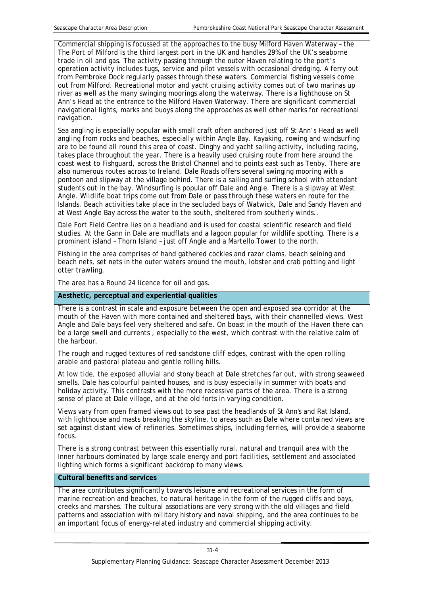Commercial shipping is focussed at the approaches to the busy Milford Haven Waterway – the The Port of Milford is the third largest port in the UK and handles 29% of the UK's seaborne trade in oil and gas. The activity passing through the outer Haven relating to the port's operation activity includes tugs, service and pilot vessels with occasional dredging. A ferry out from Pembroke Dock regularly passes through these waters. Commercial fishing vessels come out from Milford. Recreational motor and yacht cruising activity comes out of two marinas up river as well as the many swinging moorings along the waterway. There is a lighthouse on St Ann's Head at the entrance to the Milford Haven Waterway. There are significant commercial navigational lights, marks and buoys along the approaches as well other marks for recreational navigation.

Sea angling is especially popular with small craft often anchored just off St Ann's Head as well angling from rocks and beaches, especially within Angle Bay. Kayaking, rowing and windsurfing are to be found all round this area of coast. Dinghy and yacht sailing activity, including racing, takes place throughout the year. There is a heavily used cruising route from here around the coast west to Fishguard, across the Bristol Channel and to points east such as Tenby. There are also numerous routes across to Ireland. Dale Roads offers several swinging mooring with a pontoon and slipway at the village behind. There is a sailing and surfing school with attendant students out in the bay. Windsurfing is popular off Dale and Angle. There is a slipway at West Angle. Wildlife boat trips come out from Dale or pass through these waters en route for the Islands. Beach activities take place in the secluded bays of Watwick, Dale and Sandy Haven and at West Angle Bay across the water to the south, sheltered from southerly winds..

Dale Fort Field Centre lies on a headland and is used for coastal scientific research and field studies. At the Gann in Dale are mudflats and a lagoon popular for wildlife spotting. There is a prominent island – Thorn Island – just off Angle and a Martello Tower to the north.

Fishing in the area comprises of hand gathered cockles and razor clams, beach seining and beach nets, set nets in the outer waters around the mouth, lobster and crab potting and light otter trawling.

The area has a Round 24 licence for oil and gas.

#### **Aesthetic, perceptual and experiential qualities**

There is a contrast in scale and exposure between the open and exposed sea corridor at the mouth of the Haven with more contained and sheltered bays, with their channelled views. West Angle and Dale bays feel very sheltered and safe. On boast in the mouth of the Haven there can be a large swell and currents , especially to the west, which contrast with the relative calm of the harbour.

The rough and rugged textures of red sandstone cliff edges, contrast with the open rolling arable and pastoral plateau and gentle rolling hills.

At low tide, the exposed alluvial and stony beach at Dale stretches far out, with strong seaweed smells. Dale has colourful painted houses, and is busy especially in summer with boats and holiday activity. This contrasts with the more recessive parts of the area. There is a strong sense of place at Dale village, and at the old forts in varying condition.

Views vary from open framed views out to sea past the headlands of St Ann's and Rat Island, with lighthouse and masts breaking the skyline, to areas such as Dale where contained views are set against distant view of refineries. Sometimes ships, including ferries, will provide a seaborne focus.

There is a strong contrast between this essentially rural, natural and tranquil area with the Inner harbours dominated by large scale energy and port facilities, settlement and associated lighting which forms a significant backdrop to many views.

#### **Cultural benefits and services**

The area contributes significantly towards leisure and recreational services in the form of marine recreation and beaches, to natural heritage in the form of the rugged cliffs and bays, creeks and marshes. The cultural associations are very strong with the old villages and field patterns and association with military history and naval shipping, and the area continues to be an important focus of energy-related industry and commercial shipping activity.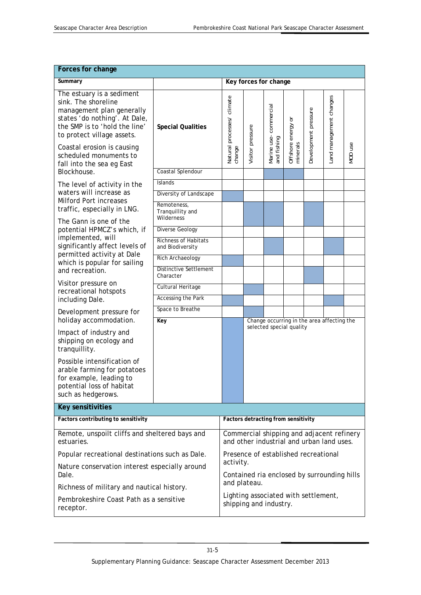| Forces for change                                                                                                                                                                                                                                                                                                 |                                                 |                                                                                        |                                     |                              |                             |                      |                                            |         |  |
|-------------------------------------------------------------------------------------------------------------------------------------------------------------------------------------------------------------------------------------------------------------------------------------------------------------------|-------------------------------------------------|----------------------------------------------------------------------------------------|-------------------------------------|------------------------------|-----------------------------|----------------------|--------------------------------------------|---------|--|
| Summary                                                                                                                                                                                                                                                                                                           |                                                 | Key forces for change                                                                  |                                     |                              |                             |                      |                                            |         |  |
| The estuary is a sediment<br>sink. The shoreline<br>management plan generally<br>states 'do nothing'. At Dale,<br>the SMP is to 'hold the line'<br>to protect village assets.                                                                                                                                     | <b>Special Qualities</b><br>Coastal Splendour   | Natural processes/ climate                                                             |                                     | commercial                   | ŏ                           | Development pressure | Land management changes                    |         |  |
| Coastal erosion is causing<br>scheduled monuments to<br>fall into the sea eg East<br>Blockhouse.                                                                                                                                                                                                                  |                                                 | change                                                                                 | Visitor pressure                    | Marine use- o<br>and fishing | Offshore energy<br>minerals |                      |                                            | MOD use |  |
| The level of activity in the<br>waters will increase as<br>Milford Port increases<br>traffic, especially in LNG.<br>The Gann is one of the<br>potential HPMCZ's which, if<br>implemented, will<br>significantly affect levels of<br>permitted activity at Dale<br>which is popular for sailing<br>and recreation. | <b>Islands</b>                                  |                                                                                        |                                     |                              |                             |                      |                                            |         |  |
|                                                                                                                                                                                                                                                                                                                   | Diversity of Landscape                          |                                                                                        |                                     |                              |                             |                      |                                            |         |  |
|                                                                                                                                                                                                                                                                                                                   | Remoteness,<br>Tranquillity and<br>Wilderness   |                                                                                        |                                     |                              |                             |                      |                                            |         |  |
|                                                                                                                                                                                                                                                                                                                   | Diverse Geology                                 |                                                                                        |                                     |                              |                             |                      |                                            |         |  |
|                                                                                                                                                                                                                                                                                                                   | <b>Richness of Habitats</b><br>and Biodiversity |                                                                                        |                                     |                              |                             |                      |                                            |         |  |
|                                                                                                                                                                                                                                                                                                                   | Rich Archaeology                                |                                                                                        |                                     |                              |                             |                      |                                            |         |  |
|                                                                                                                                                                                                                                                                                                                   | <b>Distinctive Settlement</b><br>Character      |                                                                                        |                                     |                              |                             |                      |                                            |         |  |
| Visitor pressure on<br>recreational hotspots                                                                                                                                                                                                                                                                      | Cultural Heritage                               |                                                                                        |                                     |                              |                             |                      |                                            |         |  |
| including Dale.                                                                                                                                                                                                                                                                                                   | <b>Accessing the Park</b>                       |                                                                                        |                                     |                              |                             |                      |                                            |         |  |
| Development pressure for<br>holiday accommodation.                                                                                                                                                                                                                                                                | Space to Breathe<br>Key                         |                                                                                        |                                     |                              |                             |                      | Change occurring in the area affecting the |         |  |
| Impact of industry and<br>shipping on ecology and<br>tranquillity.                                                                                                                                                                                                                                                |                                                 |                                                                                        |                                     |                              | selected special quality    |                      |                                            |         |  |
| Possible intensification of<br>arable farming for potatoes<br>for example, leading to<br>potential loss of habitat<br>such as hedgerows.                                                                                                                                                                          |                                                 |                                                                                        |                                     |                              |                             |                      |                                            |         |  |
| <b>Key sensitivities</b>                                                                                                                                                                                                                                                                                          |                                                 |                                                                                        |                                     |                              |                             |                      |                                            |         |  |
| Factors contributing to sensitivity                                                                                                                                                                                                                                                                               |                                                 |                                                                                        | Factors detracting from sensitivity |                              |                             |                      |                                            |         |  |
| Remote, unspoilt cliffs and sheltered bays and<br>estuaries.                                                                                                                                                                                                                                                      |                                                 | Commercial shipping and adjacent refinery<br>and other industrial and urban land uses. |                                     |                              |                             |                      |                                            |         |  |
| Popular recreational destinations such as Dale.                                                                                                                                                                                                                                                                   |                                                 | Presence of established recreational                                                   |                                     |                              |                             |                      |                                            |         |  |
| Nature conservation interest especially around<br>Dale.                                                                                                                                                                                                                                                           |                                                 | activity.<br>Contained ria enclosed by surrounding hills                               |                                     |                              |                             |                      |                                            |         |  |
| Richness of military and nautical history.                                                                                                                                                                                                                                                                        |                                                 | and plateau.                                                                           |                                     |                              |                             |                      |                                            |         |  |
| Pembrokeshire Coast Path as a sensitive<br>receptor.                                                                                                                                                                                                                                                              |                                                 | Lighting associated with settlement,<br>shipping and industry.                         |                                     |                              |                             |                      |                                            |         |  |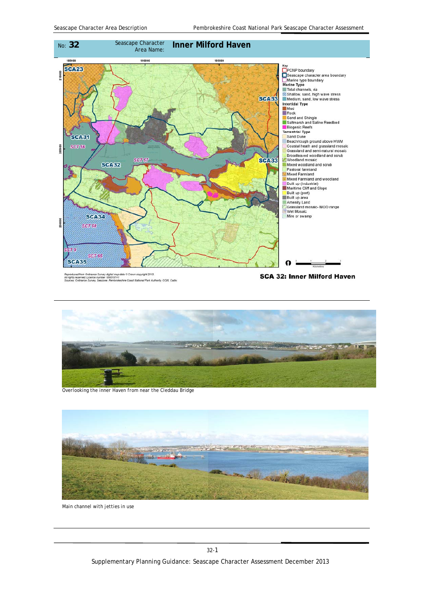

Reproduced from Ordnance Survey digital map data © Crown copyright 2013.<br>All rights reserved. Licence number 100019741<br>Sources: Ordnance Survey, Seazone, Pembrokeshire Coast National Park Au .<br>keshire Coast National Park Authority, CCW, Cadw

**SCA 32: Inner Milford Haven** 



*Overlooking the inner Haven from near the Cleddau Bridge* 



*Main channel with jetties in use*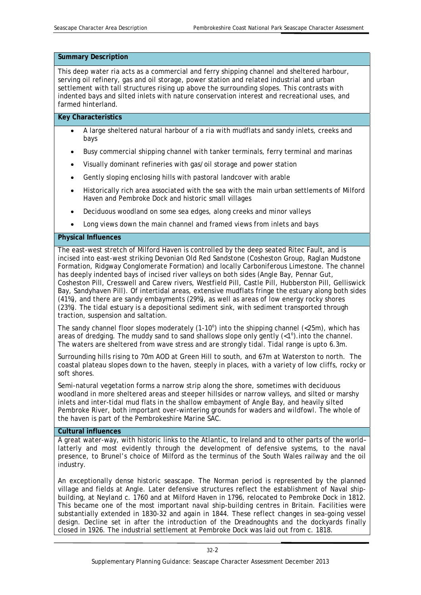#### **Summary Description**

This deep water ria acts as a commercial and ferry shipping channel and sheltered harbour, serving oil refinery, gas and oil storage, power station and related industrial and urban settlement with tall structures rising up above the surrounding slopes. This contrasts with indented bays and silted inlets with nature conservation interest and recreational uses, and farmed hinterland.

#### **Key Characteristics**

- A large sheltered natural harbour of a ria with mudflats and sandy inlets, creeks and bays
- Busy commercial shipping channel with tanker terminals, ferry terminal and marinas
- Visually dominant refineries with gas/oil storage and power station
- Gently sloping enclosing hills with pastoral landcover with arable
- Historically rich area associated with the sea with the main urban settlements of Milford Haven and Pembroke Dock and historic small villages
- Deciduous woodland on some sea edges, along creeks and minor valleys
- Long views down the main channel and framed views from inlets and bays

#### **Physical Influences**

The east-west stretch of Milford Haven is controlled by the deep seated Ritec Fault, and is incised into east-west striking Devonian Old Red Sandstone (Cosheston Group, Raglan Mudstone Formation, Ridgway Conglomerate Formation) and locally Carboniferous Limestone. The channel has deeply indented bays of incised river valleys on both sides (Angle Bay, Pennar Gut, Cosheston Pill, Cresswell and Carew rivers, Westfield Pill, Castle Pill, Hubberston Pill, Gelliswick Bay, Sandyhaven Pill). Of intertidal areas, extensive mudflats fringe the estuary along both sides (41%), and there are sandy embayments (29%), as well as areas of low energy rocky shores (23%). The tidal estuary is a depositional sediment sink, with sediment transported through traction, suspension and saltation.

The sandy channel floor slopes moderately  $(1-10^{\circ})$  into the shipping channel  $\left($  < 25m), which has areas of dredging. The muddy sand to sand shallows slope only gently  $\left\langle \langle 1^{\circ} \rangle \right\rangle$  into the channel. The waters are sheltered from wave stress and are strongly tidal. Tidal range is upto 6.3m.

Surrounding hills rising to 70m AOD at Green Hill to south, and 67m at Waterston to north. The coastal plateau slopes down to the haven, steeply in places, with a variety of low cliffs, rocky or soft shores.

Semi-natural vegetation forms a narrow strip along the shore, sometimes with deciduous woodland in more sheltered areas and steeper hillsides or narrow valleys, and silted or marshy inlets and inter-tidal mud flats in the shallow embayment of Angle Bay, and heavily silted Pembroke River, both important over-wintering grounds for waders and wildfowl. The whole of the haven is part of the Pembrokeshire Marine SAC.

#### **Cultural influences**

A great water-way, with historic links to the Atlantic, to Ireland and to other parts of the world– latterly and most evidently through the development of defensive systems, to the naval presence, to Brunel's choice of Milford as the terminus of the South Wales railway and the oil industry.

 closed in 1926. The industrial settlement at Pembroke Dock was laid out from c. 1818. An exceptionally dense historic seascape. The Norman period is represented by the planned village and fields at Angle. Later defensive structures reflect the establishment of Naval shipbuilding, at Neyland c. 1760 and at Milford Haven in 1796, relocated to Pembroke Dock in 1812. This became one of the most important naval ship-building centres in Britain. Facilities were substantially extended in 1830-32 and again in 1844. These reflect changes in sea-going vessel design. Decline set in after the introduction of the Dreadnoughts and the dockyards finally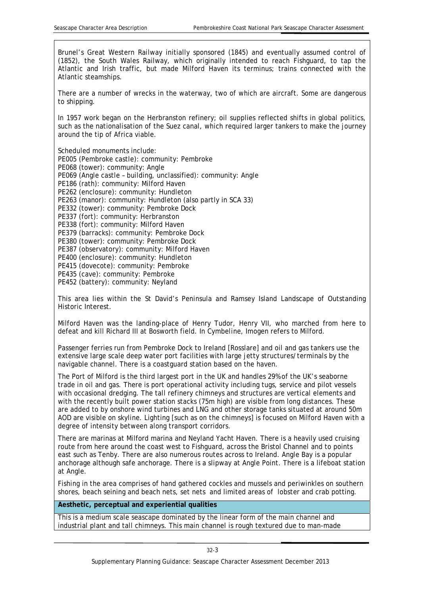Brunel's Great Western Railway initially sponsored (1845) and eventually assumed control of (1852), the South Wales Railway, which originally intended to reach Fishguard, to tap the Atlantic and Irish traffic, but made Milford Haven its terminus; trains connected with the Atlantic steamships.

There are a number of wrecks in the waterway, two of which are aircraft. Some are dangerous to shipping.

In 1957 work began on the Herbranston refinery; oil supplies reflected shifts in global politics, such as the nationalisation of the Suez canal, which required larger tankers to make the journey around the tip of Africa viable.

Scheduled monuments include:

PE005 (Pembroke castle): community: Pembroke PE068 (tower): community: Angle PE069 (Angle castle – building, unclassified): community: Angle PE186 (rath): community: Milford Haven PE262 (enclosure): community: Hundleton PE263 (manor): community: Hundleton (also partly in SCA 33) PE332 (tower): community: Pembroke Dock PE337 (fort): community: Herbranston PE338 (fort): community: Milford Haven PE379 (barracks): community: Pembroke Dock PE380 (tower): community: Pembroke Dock PE387 (observatory): community: Milford Haven PE400 (enclosure): community: Hundleton PE415 (dovecote): community: Pembroke PE435 (cave): community: Pembroke PE452 (battery): community: Neyland

This area lies within the St David's Peninsula and Ramsey Island Landscape of Outstanding Historic Interest.

Milford Haven was the landing-place of Henry Tudor, Henry VII, who marched from here to defeat and kill Richard III at Bosworth field. In *Cymbeline*, Imogen refers to Milford.

Passenger ferries run from Pembroke Dock to Ireland [Rosslare] and oil and gas tankers use the extensive large scale deep water port facilities with large jetty structures/terminals by the navigable channel. There is a coastguard station based on the haven.

The Port of Milford is the third largest port in the UK and handles 29% of the UK's seaborne trade in oil and gas. There is port operational activity including tugs, service and pilot vessels with occasional dredging. The tall refinery chimneys and structures are vertical elements and with the recently built power station stacks (75m high) are visible from long distances. These are added to by onshore wind turbines and LNG and other storage tanks situated at around 50m AOD are visible on skyline. Lighting [such as on the chimneys] is focused on Milford Haven with a degree of intensity between along transport corridors.

There are marinas at Milford marina and Neyland Yacht Haven. There is a heavily used cruising route from here around the coast west to Fishguard, across the Bristol Channel and to points east such as Tenby. There are also numerous routes across to Ireland. Angle Bay is a popular anchorage although safe anchorage. There is a slipway at Angle Point. There is a lifeboat station at Angle.

Fishing in the area comprises of hand gathered cockles and mussels and periwinkles on southern shores, beach seining and beach nets, set nets and limited areas of lobster and crab potting.

**Aesthetic, perceptual and experiential qualities** 

This is a medium scale seascape dominated by the linear form of the main channel and industrial plant and tall chimneys. This main channel is rough textured due to man-made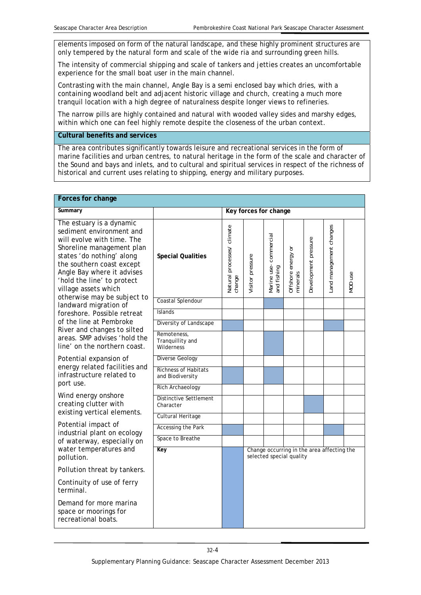elements imposed on form of the natural landscape, and these highly prominent structures are only tempered by the natural form and scale of the wide ria and surrounding green hills.

The intensity of commercial shipping and scale of tankers and jetties creates an uncomfortable experience for the small boat user in the main channel.

Contrasting with the main channel, Angle Bay is a semi enclosed bay which dries, with a containing woodland belt and adjacent historic village and church, creating a much more tranquil location with a high degree of naturalness despite longer views to refineries.

The narrow pills are highly contained and natural with wooded valley sides and marshy edges, within which one can feel highly remote despite the closeness of the urban context.

**Cultural benefits and services** 

The area contributes significantly towards leisure and recreational services in the form of marine facilities and urban centres, to natural heritage in the form of the scale and character of the Sound and bays and inlets, and to cultural and spiritual services in respect of the richness of historical and current uses relating to shipping, energy and military purposes.

| <b>Forces for change</b>                                                                                                                                                                                                                                                                                                                                                                                                                                                       |                                                 |                                      |                                                                        |                                      |                                  |                      |                         |         |
|--------------------------------------------------------------------------------------------------------------------------------------------------------------------------------------------------------------------------------------------------------------------------------------------------------------------------------------------------------------------------------------------------------------------------------------------------------------------------------|-------------------------------------------------|--------------------------------------|------------------------------------------------------------------------|--------------------------------------|----------------------------------|----------------------|-------------------------|---------|
| Summary                                                                                                                                                                                                                                                                                                                                                                                                                                                                        |                                                 |                                      | Key forces for change                                                  |                                      |                                  |                      |                         |         |
| The estuary is a dynamic<br>sediment environment and<br>will evolve with time. The<br>Shoreline management plan<br>states 'do nothing' along<br>the southern coast except<br>Angle Bay where it advises<br>'hold the line' to protect<br>village assets which<br>otherwise may be subject to<br>landward migration of<br>foreshore. Possible retreat<br>of the line at Pembroke<br>River and changes to silted<br>areas. SMP advises 'hold the<br>line' on the northern coast. | <b>Special Qualities</b>                        | Natural processes/ climate<br>change | Visitor pressure                                                       | Marine use-commercial<br>and fishing | ŏ<br>Offshore energy<br>minerals | Development pressure | Land management changes | MOD use |
|                                                                                                                                                                                                                                                                                                                                                                                                                                                                                | Coastal Splendour                               |                                      |                                                                        |                                      |                                  |                      |                         |         |
|                                                                                                                                                                                                                                                                                                                                                                                                                                                                                | <b>Islands</b>                                  |                                      |                                                                        |                                      |                                  |                      |                         |         |
|                                                                                                                                                                                                                                                                                                                                                                                                                                                                                | Diversity of Landscape                          |                                      |                                                                        |                                      |                                  |                      |                         |         |
|                                                                                                                                                                                                                                                                                                                                                                                                                                                                                | Remoteness,<br>Tranquillity and<br>Wilderness   |                                      |                                                                        |                                      |                                  |                      |                         |         |
| Potential expansion of                                                                                                                                                                                                                                                                                                                                                                                                                                                         | <b>Diverse Geology</b>                          |                                      |                                                                        |                                      |                                  |                      |                         |         |
| energy related facilities and<br>infrastructure related to<br>port use.                                                                                                                                                                                                                                                                                                                                                                                                        | <b>Richness of Habitats</b><br>and Biodiversity |                                      |                                                                        |                                      |                                  |                      |                         |         |
| Wind energy onshore<br>creating clutter with<br>existing vertical elements.                                                                                                                                                                                                                                                                                                                                                                                                    | Rich Archaeology                                |                                      |                                                                        |                                      |                                  |                      |                         |         |
|                                                                                                                                                                                                                                                                                                                                                                                                                                                                                | <b>Distinctive Settlement</b><br>Character      |                                      |                                                                        |                                      |                                  |                      |                         |         |
|                                                                                                                                                                                                                                                                                                                                                                                                                                                                                | Cultural Heritage                               |                                      |                                                                        |                                      |                                  |                      |                         |         |
| Potential impact of<br>industrial plant on ecology<br>of waterway, especially on                                                                                                                                                                                                                                                                                                                                                                                               | <b>Accessing the Park</b>                       |                                      |                                                                        |                                      |                                  |                      |                         |         |
|                                                                                                                                                                                                                                                                                                                                                                                                                                                                                | Space to Breathe                                |                                      |                                                                        |                                      |                                  |                      |                         |         |
| water temperatures and<br>pollution.                                                                                                                                                                                                                                                                                                                                                                                                                                           | Key                                             |                                      | Change occurring in the area affecting the<br>selected special quality |                                      |                                  |                      |                         |         |
| Pollution threat by tankers.                                                                                                                                                                                                                                                                                                                                                                                                                                                   |                                                 |                                      |                                                                        |                                      |                                  |                      |                         |         |
| Continuity of use of ferry<br>terminal.                                                                                                                                                                                                                                                                                                                                                                                                                                        |                                                 |                                      |                                                                        |                                      |                                  |                      |                         |         |
| Demand for more marina<br>space or moorings for<br>recreational boats.                                                                                                                                                                                                                                                                                                                                                                                                         |                                                 |                                      |                                                                        |                                      |                                  |                      |                         |         |